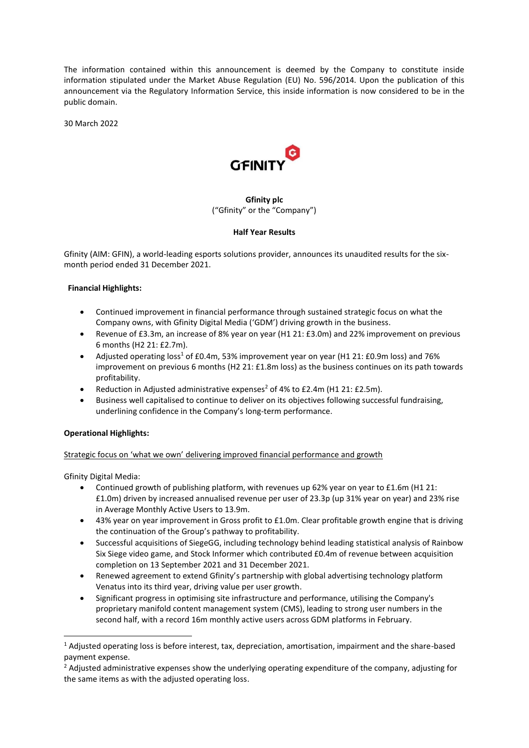The information contained within this announcement is deemed by the Company to constitute inside information stipulated under the Market Abuse Regulation (EU) No. 596/2014. Upon the publication of this announcement via the Regulatory Information Service, this inside information is now considered to be in the public domain.

30 March 2022



# **Gfinity plc** ("Gfinity" or the "Company")

#### **Half Year Results**

Gfinity (AIM: GFIN), a world-leading esports solutions provider, announces its unaudited results for the sixmonth period ended 31 December 2021.

#### **Financial Highlights:**

- Continued improvement in financial performance through sustained strategic focus on what the Company owns, with Gfinity Digital Media ('GDM') driving growth in the business.
- Revenue of £3.3m, an increase of 8% year on year (H1 21: £3.0m) and 22% improvement on previous 6 months (H2 21: £2.7m).
- Adjusted operating loss<sup>1</sup> of £0.4m, 53% improvement year on year (H1 21: £0.9m loss) and 76% improvement on previous 6 months (H2 21: £1.8m loss) as the business continues on its path towards profitability.
- Reduction in Adjusted administrative expenses<sup>2</sup> of 4% to £2.4m (H1 21: £2.5m).
- Business well capitalised to continue to deliver on its objectives following successful fundraising, underlining confidence in the Company's long-term performance.

# **Operational Highlights:**

# Strategic focus on 'what we own' delivering improved financial performance and growth

Gfinity Digital Media:

- Continued growth of publishing platform, with revenues up 62% year on year to £1.6m (H1 21: £1.0m) driven by increased annualised revenue per user of 23.3p (up 31% year on year) and 23% rise in Average Monthly Active Users to 13.9m.
- 43% year on year improvement in Gross profit to £1.0m. Clear profitable growth engine that is driving the continuation of the Group's pathway to profitability.
- Successful acquisitions of SiegeGG, including technology behind leading statistical analysis of Rainbow Six Siege video game, and Stock Informer which contributed £0.4m of revenue between acquisition completion on 13 September 2021 and 31 December 2021.
- Renewed agreement to extend Gfinity's partnership with global advertising technology platform Venatus into its third year, driving value per user growth.
- Significant progress in optimising site infrastructure and performance, utilising the Company's proprietary manifold content management system (CMS), leading to strong user numbers in the second half, with a record 16m monthly active users across GDM platforms in February.

<sup>1</sup> Adjusted operating loss is before interest, tax, depreciation, amortisation, impairment and the share-based payment expense.

<sup>&</sup>lt;sup>2</sup> Adjusted administrative expenses show the underlying operating expenditure of the company, adjusting for the same items as with the adjusted operating loss.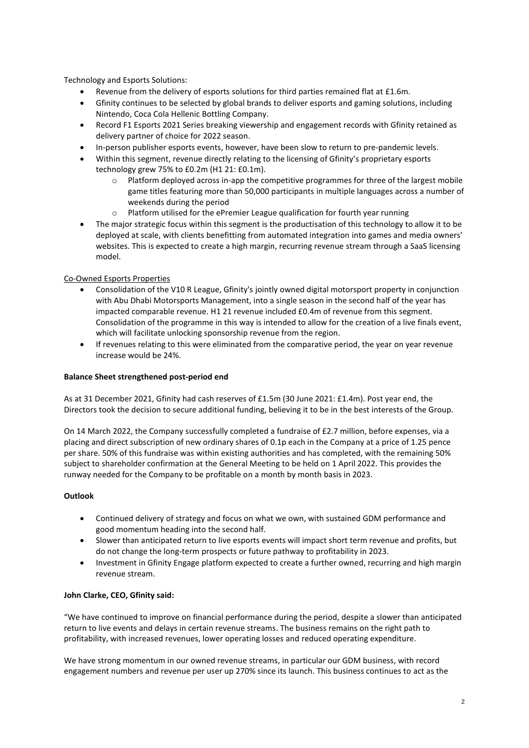Technology and Esports Solutions:

- Revenue from the delivery of esports solutions for third parties remained flat at £1.6m.
- Gfinity continues to be selected by global brands to deliver esports and gaming solutions, including Nintendo, Coca Cola Hellenic Bottling Company.
- Record F1 Esports 2021 Series breaking viewership and engagement records with Gfinity retained as delivery partner of choice for 2022 season.
- In-person publisher esports events, however, have been slow to return to pre-pandemic levels.
- Within this segment, revenue directly relating to the licensing of Gfinity's proprietary esports technology grew 75% to £0.2m (H1 21: £0.1m).
	- o Platform deployed across in-app the competitive programmes for three of the largest mobile game titles featuring more than 50,000 participants in multiple languages across a number of weekends during the period
	- o Platform utilised for the ePremier League qualification for fourth year running
- The major strategic focus within this segment is the productisation of this technology to allow it to be deployed at scale, with clients benefitting from automated integration into games and media owners' websites. This is expected to create a high margin, recurring revenue stream through a SaaS licensing model.

# Co-Owned Esports Properties

- Consolidation of the V10 R League, Gfinity's jointly owned digital motorsport property in conjunction with Abu Dhabi Motorsports Management, into a single season in the second half of the year has impacted comparable revenue. H1 21 revenue included £0.4m of revenue from this segment. Consolidation of the programme in this way is intended to allow for the creation of a live finals event, which will facilitate unlocking sponsorship revenue from the region.
- If revenues relating to this were eliminated from the comparative period, the year on year revenue increase would be 24%.

# **Balance Sheet strengthened post-period end**

As at 31 December 2021, Gfinity had cash reserves of £1.5m (30 June 2021: £1.4m). Post year end, the Directors took the decision to secure additional funding, believing it to be in the best interests of the Group.

On 14 March 2022, the Company successfully completed a fundraise of £2.7 million, before expenses, via a placing and direct subscription of new ordinary shares of 0.1p each in the Company at a price of 1.25 pence per share. 50% of this fundraise was within existing authorities and has completed, with the remaining 50% subject to shareholder confirmation at the General Meeting to be held on 1 April 2022. This provides the runway needed for the Company to be profitable on a month by month basis in 2023.

# **Outlook**

- Continued delivery of strategy and focus on what we own, with sustained GDM performance and good momentum heading into the second half.
- Slower than anticipated return to live esports events will impact short term revenue and profits, but do not change the long-term prospects or future pathway to profitability in 2023.
- Investment in Gfinity Engage platform expected to create a further owned, recurring and high margin revenue stream.

# **John Clarke, CEO, Gfinity said:**

"We have continued to improve on financial performance during the period, despite a slower than anticipated return to live events and delays in certain revenue streams. The business remains on the right path to profitability, with increased revenues, lower operating losses and reduced operating expenditure.

We have strong momentum in our owned revenue streams, in particular our GDM business, with record engagement numbers and revenue per user up 270% since its launch. This business continues to act as the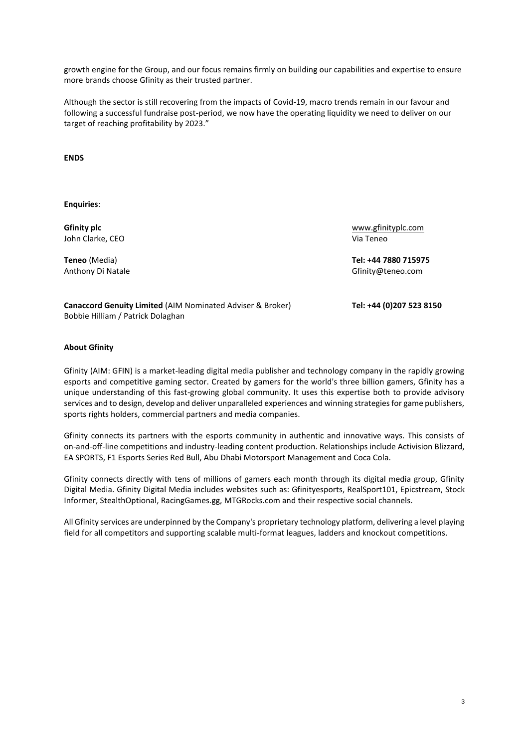growth engine for the Group, and our focus remains firmly on building our capabilities and expertise to ensure more brands choose Gfinity as their trusted partner.

Although the sector is still recovering from the impacts of Covid-19, macro trends remain in our favour and following a successful fundraise post-period, we now have the operating liquidity we need to deliver on our target of reaching profitability by 2023."

**ENDS**

**Enquiries**:

**Gfinity plc** John Clarke, CEO

[www.gfinityplc.com](http://www.gfinityplc.com/) Via Teneo

**Teneo** (Media) **Tel: +44 7880 715975** Anthony Di Natale Gfinity@teneo.com

**Canaccord Genuity Limited** (AIM Nominated Adviser & Broker) **Tel: +44 (0)207 523 8150** Bobbie Hilliam / Patrick Dolaghan

**About Gfinity**

Gfinity (AIM: GFIN) is a market-leading digital media publisher and technology company in the rapidly growing esports and competitive gaming sector. Created by gamers for the world's three billion gamers, Gfinity has a unique understanding of this fast-growing global community. It uses this expertise both to provide advisory services and to design, develop and deliver unparalleled experiences and winning strategies for game publishers, sports rights holders, commercial partners and media companies.

Gfinity connects its partners with the esports community in authentic and innovative ways. This consists of on-and-off-line competitions and industry-leading content production. Relationships include Activision Blizzard, EA SPORTS, F1 Esports Series Red Bull, Abu Dhabi Motorsport Management and Coca Cola.

Gfinity connects directly with tens of millions of gamers each month through its digital media group, Gfinity Digital Media. Gfinity Digital Media includes websites such as: Gfinityesports, RealSport101, Epicstream, Stock Informer, StealthOptional, RacingGames.gg, MTGRocks.com and their respective social channels.

All Gfinity services are underpinned by the Company's proprietary technology platform, delivering a level playing field for all competitors and supporting scalable multi-format leagues, ladders and knockout competitions.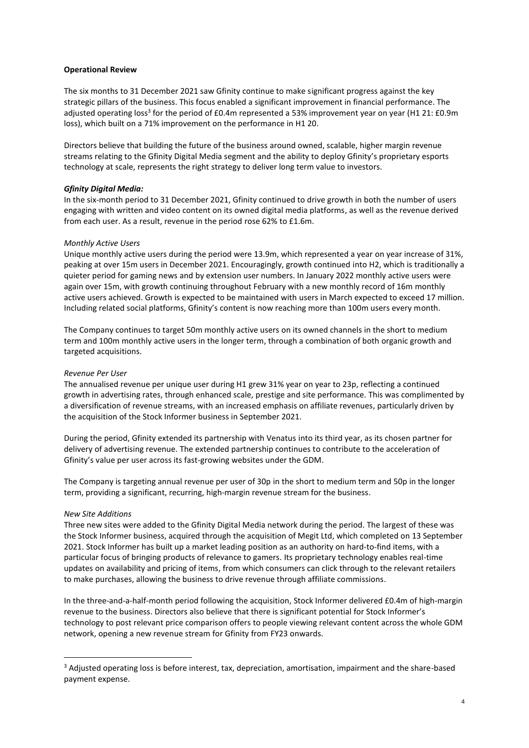#### **Operational Review**

The six months to 31 December 2021 saw Gfinity continue to make significant progress against the key strategic pillars of the business. This focus enabled a significant improvement in financial performance. The adjusted operating loss<sup>3</sup> for the period of £0.4m represented a 53% improvement year on year (H1 21: £0.9m loss), which built on a 71% improvement on the performance in H1 20.

Directors believe that building the future of the business around owned, scalable, higher margin revenue streams relating to the Gfinity Digital Media segment and the ability to deploy Gfinity's proprietary esports technology at scale, represents the right strategy to deliver long term value to investors.

### *Gfinity Digital Media:*

In the six-month period to 31 December 2021, Gfinity continued to drive growth in both the number of users engaging with written and video content on its owned digital media platforms, as well as the revenue derived from each user. As a result, revenue in the period rose 62% to £1.6m.

#### *Monthly Active Users*

Unique monthly active users during the period were 13.9m, which represented a year on year increase of 31%, peaking at over 15m users in December 2021. Encouragingly, growth continued into H2, which is traditionally a quieter period for gaming news and by extension user numbers. In January 2022 monthly active users were again over 15m, with growth continuing throughout February with a new monthly record of 16m monthly active users achieved. Growth is expected to be maintained with users in March expected to exceed 17 million. Including related social platforms, Gfinity's content is now reaching more than 100m users every month.

The Company continues to target 50m monthly active users on its owned channels in the short to medium term and 100m monthly active users in the longer term, through a combination of both organic growth and targeted acquisitions.

#### *Revenue Per User*

The annualised revenue per unique user during H1 grew 31% year on year to 23p, reflecting a continued growth in advertising rates, through enhanced scale, prestige and site performance. This was complimented by a diversification of revenue streams, with an increased emphasis on affiliate revenues, particularly driven by the acquisition of the Stock Informer business in September 2021.

During the period, Gfinity extended its partnership with Venatus into its third year, as its chosen partner for delivery of advertising revenue. The extended partnership continues to contribute to the acceleration of Gfinity's value per user across its fast-growing websites under the GDM.

The Company is targeting annual revenue per user of 30p in the short to medium term and 50p in the longer term, providing a significant, recurring, high-margin revenue stream for the business.

#### *New Site Additions*

Three new sites were added to the Gfinity Digital Media network during the period. The largest of these was the Stock Informer business, acquired through the acquisition of Megit Ltd, which completed on 13 September 2021. Stock Informer has built up a market leading position as an authority on hard-to-find items, with a particular focus of bringing products of relevance to gamers. Its proprietary technology enables real-time updates on availability and pricing of items, from which consumers can click through to the relevant retailers to make purchases, allowing the business to drive revenue through affiliate commissions.

In the three-and-a-half-month period following the acquisition, Stock Informer delivered £0.4m of high-margin revenue to the business. Directors also believe that there is significant potential for Stock Informer's technology to post relevant price comparison offers to people viewing relevant content across the whole GDM network, opening a new revenue stream for Gfinity from FY23 onwards.

<sup>&</sup>lt;sup>3</sup> Adjusted operating loss is before interest, tax, depreciation, amortisation, impairment and the share-based payment expense.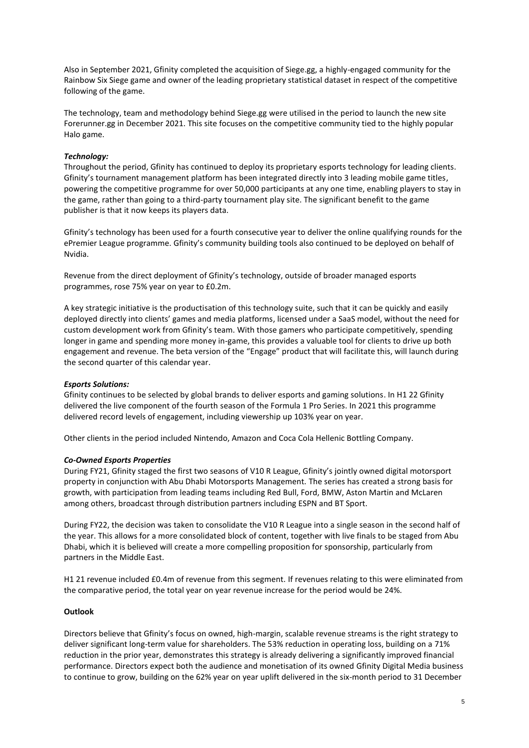Also in September 2021, Gfinity completed the acquisition of Siege.gg, a highly-engaged community for the Rainbow Six Siege game and owner of the leading proprietary statistical dataset in respect of the competitive following of the game.

The technology, team and methodology behind Siege.gg were utilised in the period to launch the new site Forerunner.gg in December 2021. This site focuses on the competitive community tied to the highly popular Halo game.

# *Technology:*

Throughout the period, Gfinity has continued to deploy its proprietary esports technology for leading clients. Gfinity's tournament management platform has been integrated directly into 3 leading mobile game titles, powering the competitive programme for over 50,000 participants at any one time, enabling players to stay in the game, rather than going to a third-party tournament play site. The significant benefit to the game publisher is that it now keeps its players data.

Gfinity's technology has been used for a fourth consecutive year to deliver the online qualifying rounds for the ePremier League programme. Gfinity's community building tools also continued to be deployed on behalf of Nvidia.

Revenue from the direct deployment of Gfinity's technology, outside of broader managed esports programmes, rose 75% year on year to £0.2m.

A key strategic initiative is the productisation of this technology suite, such that it can be quickly and easily deployed directly into clients' games and media platforms, licensed under a SaaS model, without the need for custom development work from Gfinity's team. With those gamers who participate competitively, spending longer in game and spending more money in-game, this provides a valuable tool for clients to drive up both engagement and revenue. The beta version of the "Engage" product that will facilitate this, will launch during the second quarter of this calendar year.

# *Esports Solutions:*

Gfinity continues to be selected by global brands to deliver esports and gaming solutions. In H1 22 Gfinity delivered the live component of the fourth season of the Formula 1 Pro Series. In 2021 this programme delivered record levels of engagement, including viewership up 103% year on year.

Other clients in the period included Nintendo, Amazon and Coca Cola Hellenic Bottling Company.

# *Co-Owned Esports Properties*

During FY21, Gfinity staged the first two seasons of V10 R League, Gfinity's jointly owned digital motorsport property in conjunction with Abu Dhabi Motorsports Management. The series has created a strong basis for growth, with participation from leading teams including Red Bull, Ford, BMW, Aston Martin and McLaren among others, broadcast through distribution partners including ESPN and BT Sport.

During FY22, the decision was taken to consolidate the V10 R League into a single season in the second half of the year. This allows for a more consolidated block of content, together with live finals to be staged from Abu Dhabi, which it is believed will create a more compelling proposition for sponsorship, particularly from partners in the Middle East.

H1 21 revenue included £0.4m of revenue from this segment. If revenues relating to this were eliminated from the comparative period, the total year on year revenue increase for the period would be 24%.

#### **Outlook**

Directors believe that Gfinity's focus on owned, high-margin, scalable revenue streams is the right strategy to deliver significant long-term value for shareholders. The 53% reduction in operating loss, building on a 71% reduction in the prior year, demonstrates this strategy is already delivering a significantly improved financial performance. Directors expect both the audience and monetisation of its owned Gfinity Digital Media business to continue to grow, building on the 62% year on year uplift delivered in the six-month period to 31 December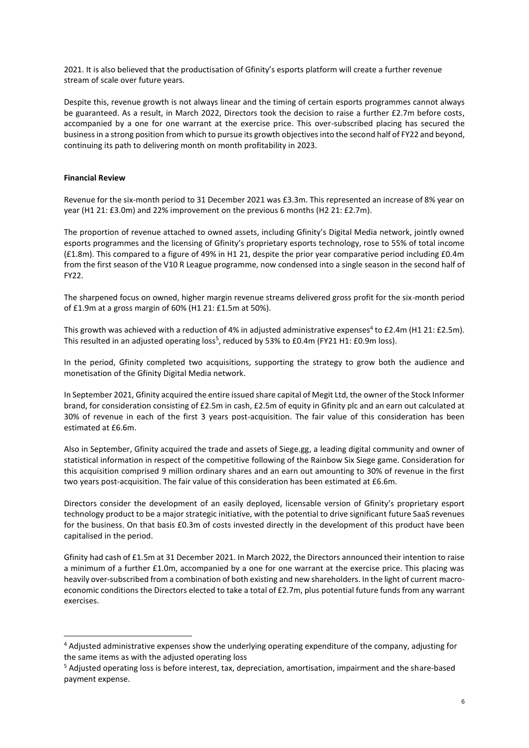2021. It is also believed that the productisation of Gfinity's esports platform will create a further revenue stream of scale over future years.

Despite this, revenue growth is not always linear and the timing of certain esports programmes cannot always be guaranteed. As a result, in March 2022, Directors took the decision to raise a further £2.7m before costs, accompanied by a one for one warrant at the exercise price. This over-subscribed placing has secured the business in a strong position from which to pursue its growth objectives into the second half of FY22 and beyond, continuing its path to delivering month on month profitability in 2023.

# **Financial Review**

Revenue for the six-month period to 31 December 2021 was £3.3m. This represented an increase of 8% year on year (H1 21: £3.0m) and 22% improvement on the previous 6 months (H2 21: £2.7m).

The proportion of revenue attached to owned assets, including Gfinity's Digital Media network, jointly owned esports programmes and the licensing of Gfinity's proprietary esports technology, rose to 55% of total income (£1.8m). This compared to a figure of 49% in H1 21, despite the prior year comparative period including £0.4m from the first season of the V10 R League programme, now condensed into a single season in the second half of FY22.

The sharpened focus on owned, higher margin revenue streams delivered gross profit for the six-month period of £1.9m at a gross margin of 60% (H1 21: £1.5m at 50%).

This growth was achieved with a reduction of 4% in adjusted administrative expenses<sup>4</sup> to £2.4m (H1 21: £2.5m). This resulted in an adjusted operating loss<sup>5</sup>, reduced by 53% to £0.4m (FY21 H1: £0.9m loss).

In the period, Gfinity completed two acquisitions, supporting the strategy to grow both the audience and monetisation of the Gfinity Digital Media network.

In September 2021, Gfinity acquired the entire issued share capital of Megit Ltd, the owner of the Stock Informer brand, for consideration consisting of £2.5m in cash, £2.5m of equity in Gfinity plc and an earn out calculated at 30% of revenue in each of the first 3 years post-acquisition. The fair value of this consideration has been estimated at £6.6m.

Also in September, Gfinity acquired the trade and assets of Siege.gg, a leading digital community and owner of statistical information in respect of the competitive following of the Rainbow Six Siege game. Consideration for this acquisition comprised 9 million ordinary shares and an earn out amounting to 30% of revenue in the first two years post-acquisition. The fair value of this consideration has been estimated at £6.6m.

Directors consider the development of an easily deployed, licensable version of Gfinity's proprietary esport technology product to be a major strategic initiative, with the potential to drive significant future SaaS revenues for the business. On that basis £0.3m of costs invested directly in the development of this product have been capitalised in the period.

Gfinity had cash of £1.5m at 31 December 2021. In March 2022, the Directors announced their intention to raise a minimum of a further £1.0m, accompanied by a one for one warrant at the exercise price. This placing was heavily over-subscribed from a combination of both existing and new shareholders. In the light of current macroeconomic conditions the Directors elected to take a total of £2.7m, plus potential future funds from any warrant exercises.

<sup>4</sup> Adjusted administrative expenses show the underlying operating expenditure of the company, adjusting for the same items as with the adjusted operating loss

<sup>5</sup> Adjusted operating loss is before interest, tax, depreciation, amortisation, impairment and the share-based payment expense.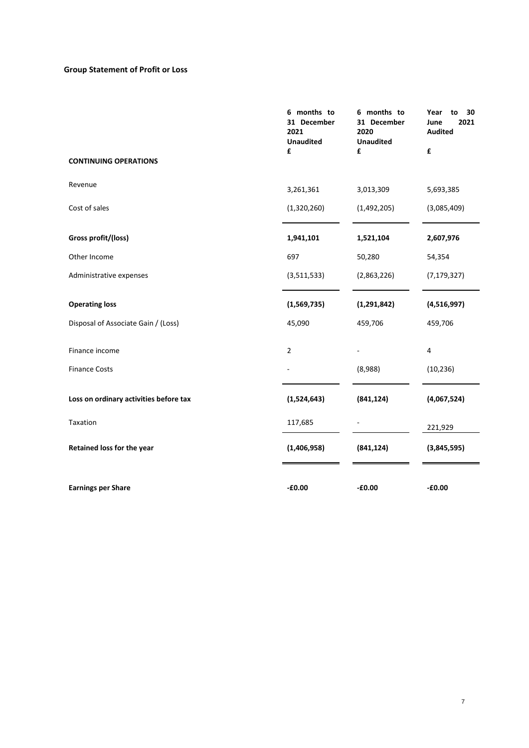# **Group Statement of Profit or Loss**

|                                        | 6 months to<br>31 December<br>2021<br><b>Unaudited</b> | 6 months to<br>31 December<br>2020<br><b>Unaudited</b> | Year<br>to<br>30<br>2021<br>June<br><b>Audited</b> |
|----------------------------------------|--------------------------------------------------------|--------------------------------------------------------|----------------------------------------------------|
|                                        | £                                                      | £                                                      | £                                                  |
| <b>CONTINUING OPERATIONS</b>           |                                                        |                                                        |                                                    |
| Revenue                                | 3,261,361                                              | 3,013,309                                              | 5,693,385                                          |
| Cost of sales                          | (1,320,260)                                            | (1,492,205)                                            | (3,085,409)                                        |
| Gross profit/(loss)                    | 1,941,101                                              | 1,521,104                                              | 2,607,976                                          |
| Other Income                           | 697                                                    | 50,280                                                 | 54,354                                             |
| Administrative expenses                | (3,511,533)                                            | (2,863,226)                                            | (7, 179, 327)                                      |
| <b>Operating loss</b>                  | (1,569,735)                                            | (1, 291, 842)                                          | (4,516,997)                                        |
| Disposal of Associate Gain / (Loss)    | 45,090                                                 | 459,706                                                | 459,706                                            |
| Finance income                         | $\overline{2}$                                         |                                                        | 4                                                  |
| <b>Finance Costs</b>                   |                                                        | (8,988)                                                | (10, 236)                                          |
| Loss on ordinary activities before tax | (1,524,643)                                            | (841, 124)                                             | (4,067,524)                                        |
| Taxation                               | 117,685                                                |                                                        | 221,929                                            |
| Retained loss for the year             | (1,406,958)                                            | (841, 124)                                             | (3,845,595)                                        |
| <b>Earnings per Share</b>              | $-£0.00$                                               | $-£0.00$                                               | $-£0.00$                                           |
|                                        |                                                        |                                                        |                                                    |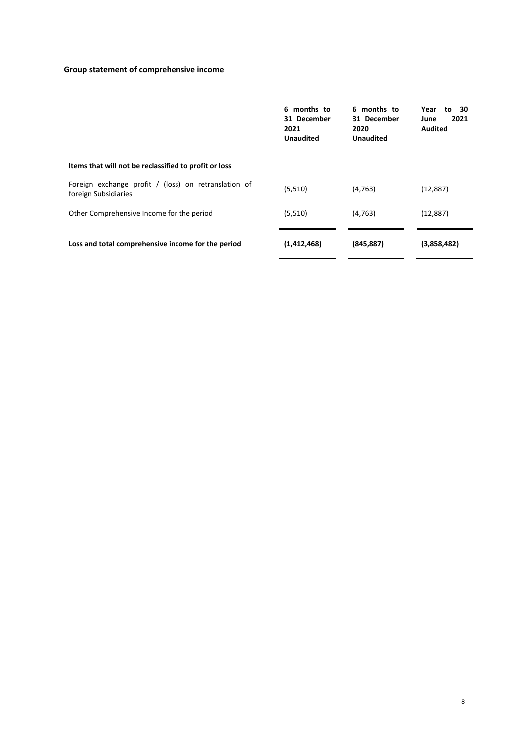# **Group statement of comprehensive income**

|                                                                              | 6 months to<br>31 December<br>2021<br><b>Unaudited</b> | 6 months to<br>31 December<br>2020<br><b>Unaudited</b> | Year<br>to 30<br>2021<br>June<br><b>Audited</b> |
|------------------------------------------------------------------------------|--------------------------------------------------------|--------------------------------------------------------|-------------------------------------------------|
| Items that will not be reclassified to profit or loss                        |                                                        |                                                        |                                                 |
| Foreign exchange profit / (loss) on retranslation of<br>foreign Subsidiaries | (5,510)                                                | (4, 763)                                               | (12, 887)                                       |
| Other Comprehensive Income for the period                                    | (5,510)                                                | (4, 763)                                               | (12, 887)                                       |
| Loss and total comprehensive income for the period                           | (1,412,468)                                            | (845, 887)                                             | (3,858,482)                                     |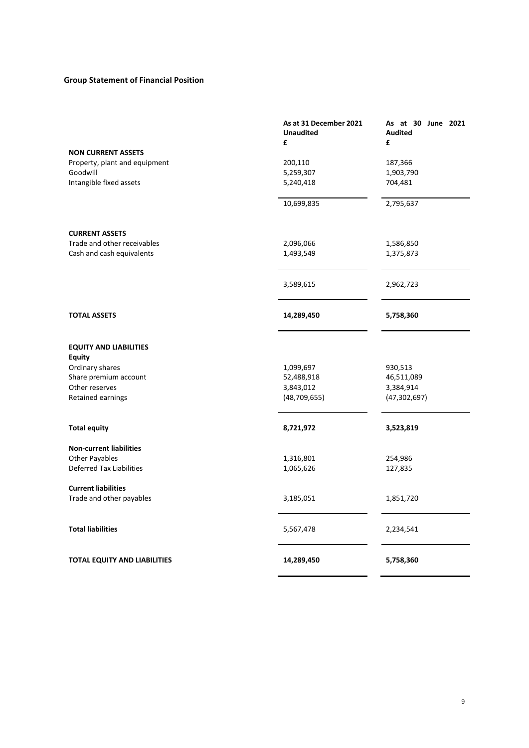# **Group Statement of Financial Position**

|                                                                   | As at 31 December 2021 | As at 30 June 2021  |
|-------------------------------------------------------------------|------------------------|---------------------|
|                                                                   | <b>Unaudited</b><br>£  | <b>Audited</b><br>£ |
| <b>NON CURRENT ASSETS</b>                                         |                        |                     |
| Property, plant and equipment                                     | 200,110                | 187,366             |
| Goodwill                                                          | 5,259,307              | 1,903,790           |
| Intangible fixed assets                                           | 5,240,418              | 704,481             |
|                                                                   |                        |                     |
|                                                                   | 10,699,835             | 2,795,637           |
| <b>CURRENT ASSETS</b>                                             |                        |                     |
| Trade and other receivables                                       | 2,096,066              | 1,586,850           |
| Cash and cash equivalents                                         | 1,493,549              | 1,375,873           |
|                                                                   | 3,589,615              | 2,962,723           |
| <b>TOTAL ASSETS</b>                                               | 14,289,450             | 5,758,360           |
| <b>EQUITY AND LIABILITIES</b><br><b>Equity</b><br>Ordinary shares | 1,099,697              | 930,513             |
| Share premium account                                             | 52,488,918             | 46,511,089          |
| Other reserves                                                    | 3,843,012              | 3,384,914           |
| Retained earnings                                                 | (48, 709, 655)         | (47, 302, 697)      |
| <b>Total equity</b>                                               | 8,721,972              | 3,523,819           |
| <b>Non-current liabilities</b>                                    |                        |                     |
| Other Payables                                                    | 1,316,801              | 254,986             |
| <b>Deferred Tax Liabilities</b>                                   | 1,065,626              | 127,835             |
| <b>Current liabilities</b>                                        |                        |                     |
| Trade and other payables                                          | 3,185,051              | 1,851,720           |
| <b>Total liabilities</b>                                          | 5,567,478              | 2,234,541           |
| <b>TOTAL EQUITY AND LIABILITIES</b>                               | 14,289,450             | 5,758,360           |
|                                                                   |                        |                     |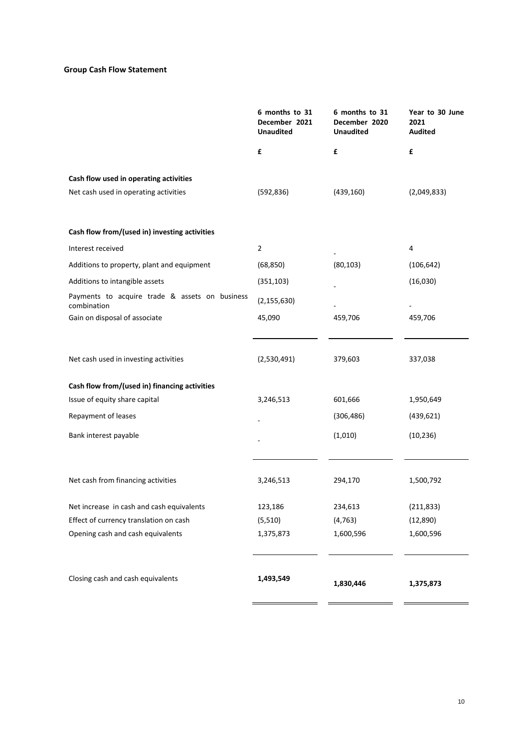# **Group Cash Flow Statement**

|                                                               | 6 months to 31<br>December 2021<br><b>Unaudited</b> | 6 months to 31<br>December 2020<br><b>Unaudited</b> | Year to 30 June<br>2021<br><b>Audited</b> |
|---------------------------------------------------------------|-----------------------------------------------------|-----------------------------------------------------|-------------------------------------------|
|                                                               | £                                                   | £                                                   | £                                         |
| Cash flow used in operating activities                        |                                                     |                                                     |                                           |
| Net cash used in operating activities                         | (592, 836)                                          | (439, 160)                                          | (2,049,833)                               |
| Cash flow from/(used in) investing activities                 |                                                     |                                                     |                                           |
| Interest received                                             | $\overline{2}$                                      |                                                     | 4                                         |
| Additions to property, plant and equipment                    | (68, 850)                                           | (80, 103)                                           | (106, 642)                                |
| Additions to intangible assets                                | (351, 103)                                          |                                                     | (16,030)                                  |
| Payments to acquire trade & assets on business<br>combination | (2, 155, 630)                                       |                                                     |                                           |
| Gain on disposal of associate                                 | 45,090                                              | 459,706                                             | 459,706                                   |
| Net cash used in investing activities                         | (2,530,491)                                         | 379,603                                             | 337,038                                   |
| Cash flow from/(used in) financing activities                 |                                                     |                                                     |                                           |
| Issue of equity share capital                                 | 3,246,513                                           | 601,666                                             | 1,950,649                                 |
| Repayment of leases                                           |                                                     | (306, 486)                                          | (439, 621)                                |
| Bank interest payable                                         |                                                     | (1,010)                                             | (10, 236)                                 |
| Net cash from financing activities                            | 3,246,513                                           | 294,170                                             | 1,500,792                                 |
| Net increase in cash and cash equivalents                     | 123,186                                             | 234,613                                             | (211, 833)                                |
| Effect of currency translation on cash                        | (5,510)                                             | (4, 763)                                            | (12, 890)                                 |
| Opening cash and cash equivalents                             | 1,375,873                                           | 1,600,596                                           | 1,600,596                                 |
| Closing cash and cash equivalents                             | 1,493,549                                           | 1,830,446                                           | 1,375,873                                 |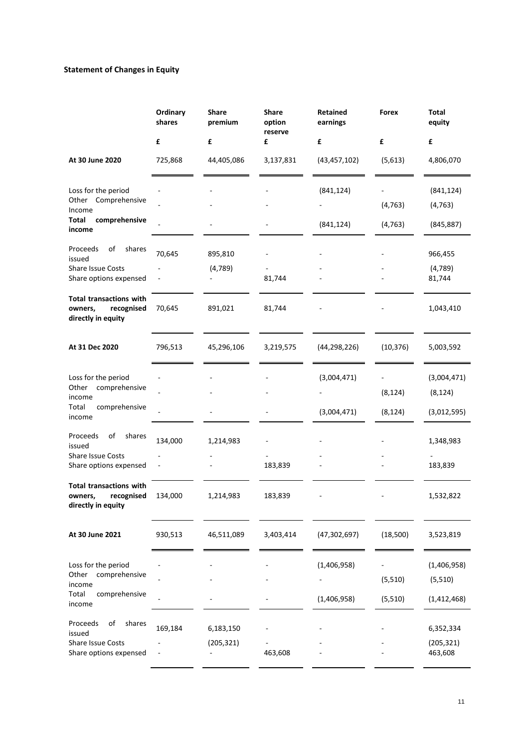# **Statement of Changes in Equity**

|                                                                               | Ordinary<br>shares | <b>Share</b><br>premium | Share<br>option<br>reserve | <b>Retained</b><br>earnings | Forex     | Total<br>equity       |
|-------------------------------------------------------------------------------|--------------------|-------------------------|----------------------------|-----------------------------|-----------|-----------------------|
|                                                                               | £                  | £                       | £                          | £                           | £         | £                     |
| At 30 June 2020                                                               | 725,868            | 44,405,086              | 3,137,831                  | (43, 457, 102)              | (5,613)   | 4,806,070             |
| Loss for the period                                                           |                    |                         |                            | (841, 124)                  |           | (841, 124)            |
| Comprehensive<br>Other<br>Income                                              |                    |                         |                            |                             | (4, 763)  | (4, 763)              |
| Total<br>comprehensive<br>income                                              |                    |                         |                            | (841, 124)                  | (4, 763)  | (845, 887)            |
| of<br>shares<br>Proceeds<br>issued                                            | 70,645             | 895,810                 |                            |                             |           | 966,455               |
| <b>Share Issue Costs</b><br>Share options expensed                            |                    | (4, 789)                | 81,744                     |                             |           | (4, 789)<br>81,744    |
| <b>Total transactions with</b><br>owners,<br>recognised<br>directly in equity | 70,645             | 891,021                 | 81,744                     |                             |           | 1,043,410             |
| At 31 Dec 2020                                                                | 796,513            | 45,296,106              | 3,219,575                  | (44, 298, 226)              | (10, 376) | 5,003,592             |
| Loss for the period                                                           |                    |                         |                            | (3,004,471)                 |           | (3,004,471)           |
| comprehensive<br>Other<br>income                                              |                    |                         |                            |                             | (8, 124)  | (8, 124)              |
| Total<br>comprehensive<br>income                                              |                    |                         |                            | (3,004,471)                 | (8, 124)  | (3,012,595)           |
| of<br>Proceeds<br>shares<br>issued                                            | 134,000            | 1,214,983               |                            |                             |           | 1,348,983             |
| <b>Share Issue Costs</b><br>Share options expensed                            |                    |                         | 183,839                    |                             |           | 183,839               |
| Total transactions with<br>recognised<br>owners,<br>directly in equity        | 134,000            | 1,214,983               | 183,839                    |                             |           | 1,532,822             |
| At 30 June 2021                                                               | 930,513            | 46,511,089              | 3,403,414                  | (47, 302, 697)              | (18,500)  | 3,523,819             |
| Loss for the period                                                           |                    |                         |                            | (1,406,958)                 |           | (1,406,958)           |
| comprehensive<br>Other<br>income                                              |                    |                         |                            |                             | (5,510)   | (5,510)               |
| Total<br>comprehensive<br>income                                              |                    |                         |                            | (1,406,958)                 | (5,510)   | (1,412,468)           |
| Proceeds<br>of<br>shares<br>issued                                            | 169,184            | 6,183,150               |                            |                             |           | 6,352,334             |
| Share Issue Costs<br>Share options expensed                                   |                    | (205, 321)              | 463,608                    |                             |           | (205, 321)<br>463,608 |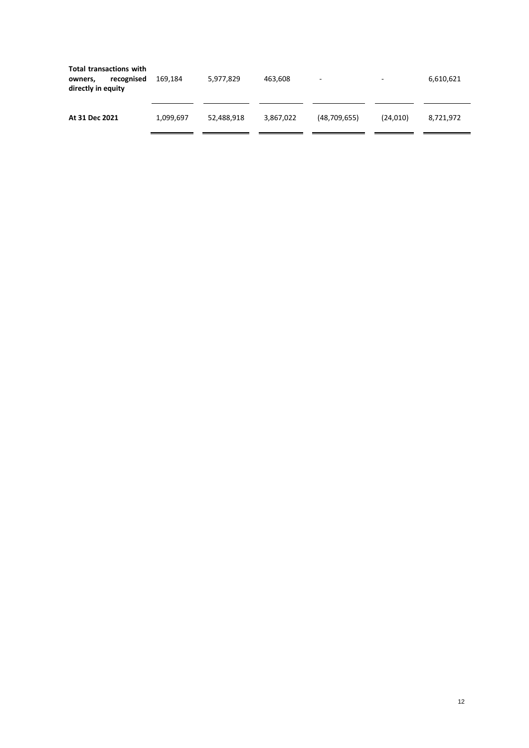| <b>Total transactions with</b><br>recognised<br>owners,<br>directly in equity | 169.184   | 5,977,829  | 463,608   | ٠              | $\overline{\phantom{a}}$ | 6,610,621 |
|-------------------------------------------------------------------------------|-----------|------------|-----------|----------------|--------------------------|-----------|
| At 31 Dec 2021                                                                | 1,099,697 | 52,488,918 | 3,867,022 | (48, 709, 655) | (24.010)                 | 8,721,972 |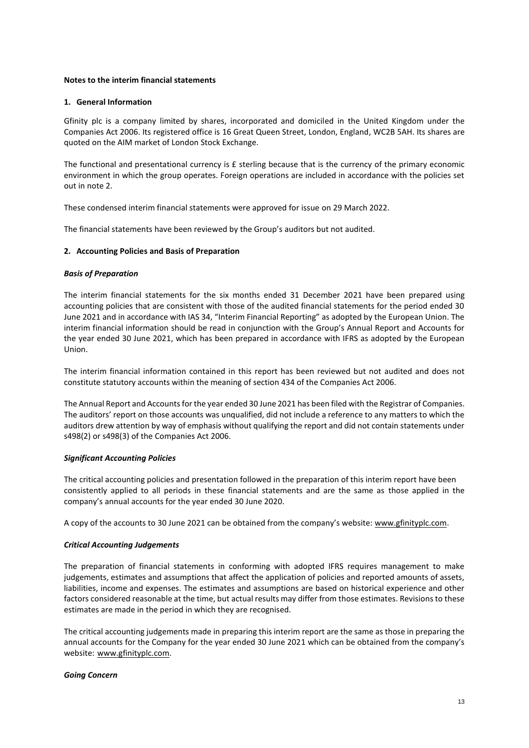### **Notes to the interim financial statements**

#### **1. General Information**

Gfinity plc is a company limited by shares, incorporated and domiciled in the United Kingdom under the Companies Act 2006. Its registered office is 16 Great Queen Street, London, England, WC2B 5AH. Its shares are quoted on the AIM market of London Stock Exchange.

The functional and presentational currency is £ sterling because that is the currency of the primary economic environment in which the group operates. Foreign operations are included in accordance with the policies set out in note 2.

These condensed interim financial statements were approved for issue on 29 March 2022.

The financial statements have been reviewed by the Group's auditors but not audited.

#### **2. Accounting Policies and Basis of Preparation**

#### *Basis of Preparation*

The interim financial statements for the six months ended 31 December 2021 have been prepared using accounting policies that are consistent with those of the audited financial statements for the period ended 30 June 2021 and in accordance with IAS 34, "Interim Financial Reporting" as adopted by the European Union. The interim financial information should be read in conjunction with the Group's Annual Report and Accounts for the year ended 30 June 2021, which has been prepared in accordance with IFRS as adopted by the European Union.

The interim financial information contained in this report has been reviewed but not audited and does not constitute statutory accounts within the meaning of section 434 of the Companies Act 2006.

The Annual Report and Accounts for the year ended 30 June 2021 has been filed with the Registrar of Companies. The auditors' report on those accounts was unqualified, did not include a reference to any matters to which the auditors drew attention by way of emphasis without qualifying the report and did not contain statements under s498(2) or s498(3) of the Companies Act 2006.

#### *Significant Accounting Policies*

The critical accounting policies and presentation followed in the preparation of this interim report have been consistently applied to all periods in these financial statements and are the same as those applied in the company's annual accounts for the year ended 30 June 2020.

A copy of the accounts to 30 June 2021 can be obtained from the company's website: [www.gfinityplc.com.](http://www.gfinityplc.com/)

#### *Critical Accounting Judgements*

The preparation of financial statements in conforming with adopted IFRS requires management to make judgements, estimates and assumptions that affect the application of policies and reported amounts of assets, liabilities, income and expenses. The estimates and assumptions are based on historical experience and other factors considered reasonable at the time, but actual results may differ from those estimates. Revisions to these estimates are made in the period in which they are recognised.

The critical accounting judgements made in preparing this interim report are the same as those in preparing the annual accounts for the Company for the year ended 30 June 2021 which can be obtained from the company's website: [www.gfinityplc.com.](http://www.gfinityplc.com/)

#### *Going Concern*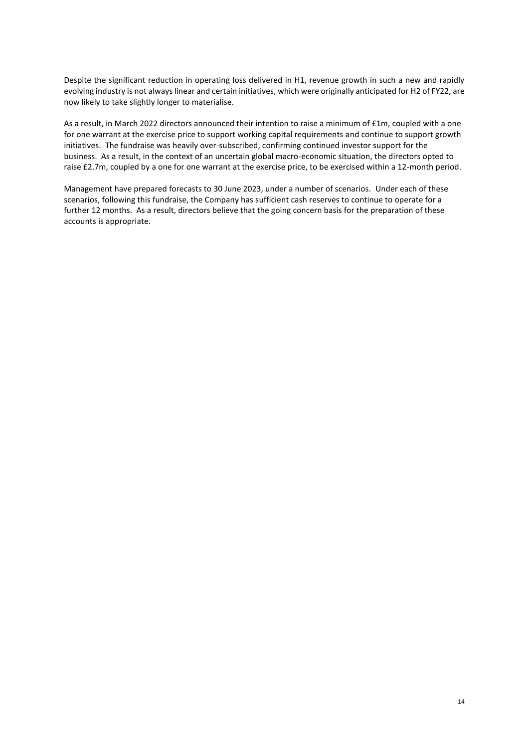Despite the significant reduction in operating loss delivered in H1, revenue growth in such a new and rapidly evolving industry is not always linear and certain initiatives, which were originally anticipated for H2 of FY22, are now likely to take slightly longer to materialise.

As a result, in March 2022 directors announced their intention to raise a minimum of £1m, coupled with a one for one warrant at the exercise price to support working capital requirements and continue to support growth initiatives. The fundraise was heavily over-subscribed, confirming continued investor support for the business. As a result, in the context of an uncertain global macro-economic situation, the directors opted to raise £2.7m, coupled by a one for one warrant at the exercise price, to be exercised within a 12-month period.

Management have prepared forecasts to 30 June 2023, under a number of scenarios. Under each of these scenarios, following this fundraise, the Company has sufficient cash reserves to continue to operate for a further 12 months. As a result, directors believe that the going concern basis for the preparation of these accounts is appropriate.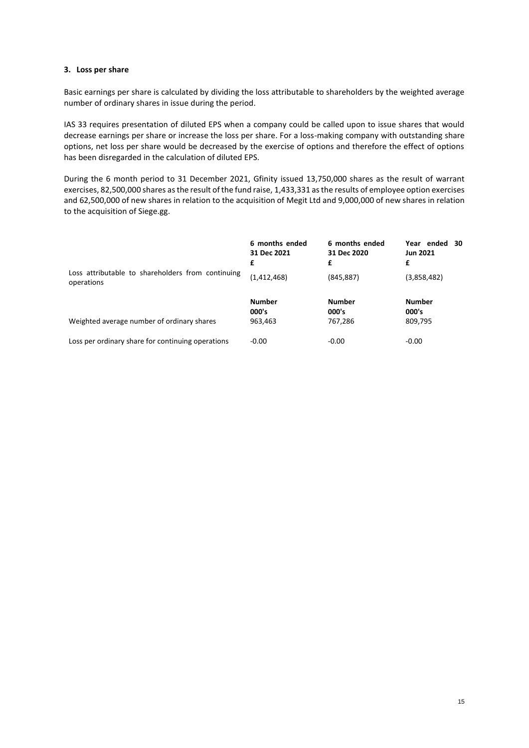# **3. Loss per share**

Basic earnings per share is calculated by dividing the loss attributable to shareholders by the weighted average number of ordinary shares in issue during the period.

IAS 33 requires presentation of diluted EPS when a company could be called upon to issue shares that would decrease earnings per share or increase the loss per share. For a loss-making company with outstanding share options, net loss per share would be decreased by the exercise of options and therefore the effect of options has been disregarded in the calculation of diluted EPS.

During the 6 month period to 31 December 2021, Gfinity issued 13,750,000 shares as the result of warrant exercises, 82,500,000 shares as the result of the fund raise, 1,433,331 as the results of employee option exercises and 62,500,000 of new shares in relation to the acquisition of Megit Ltd and 9,000,000 of new shares in relation to the acquisition of Siege.gg.

|                                                                 | 6 months ended<br>31 Dec 2021<br>£ | 6 months ended<br>31 Dec 2020<br>£ | Year ended<br>- 30<br><b>Jun 2021</b><br>£ |
|-----------------------------------------------------------------|------------------------------------|------------------------------------|--------------------------------------------|
| Loss attributable to shareholders from continuing<br>operations | (1, 412, 468)                      | (845, 887)                         | (3,858,482)                                |
| Weighted average number of ordinary shares                      | <b>Number</b><br>000's<br>963,463  | <b>Number</b><br>000's<br>767,286  | <b>Number</b><br>000's<br>809,795          |
| Loss per ordinary share for continuing operations               | $-0.00$                            | $-0.00$                            | $-0.00$                                    |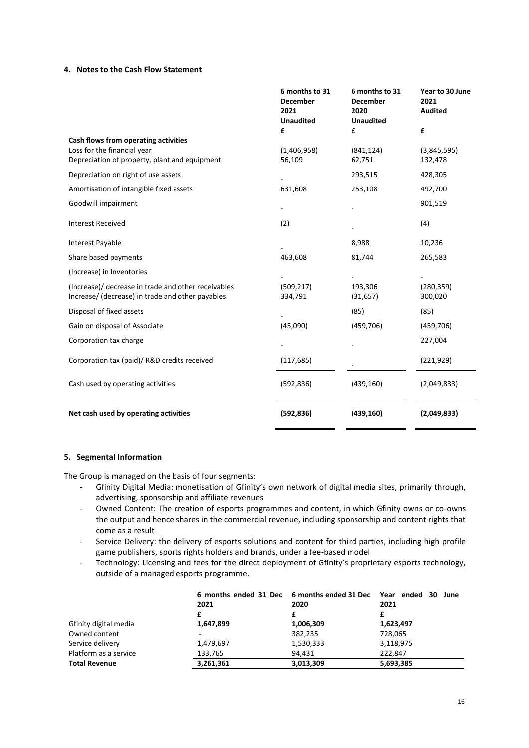#### **4. Notes to the Cash Flow Statement**

|                                                                                                                      | 6 months to 31<br><b>December</b><br>2021<br><b>Unaudited</b> | 6 months to 31<br><b>December</b><br>2020<br><b>Unaudited</b> | Year to 30 June<br>2021<br><b>Audited</b> |
|----------------------------------------------------------------------------------------------------------------------|---------------------------------------------------------------|---------------------------------------------------------------|-------------------------------------------|
|                                                                                                                      | £                                                             | £                                                             | £                                         |
| Cash flows from operating activities<br>Loss for the financial year<br>Depreciation of property, plant and equipment | (1,406,958)<br>56,109                                         | (841, 124)<br>62,751                                          | (3,845,595)<br>132,478                    |
| Depreciation on right of use assets                                                                                  |                                                               | 293,515                                                       | 428,305                                   |
| Amortisation of intangible fixed assets                                                                              | 631,608                                                       | 253,108                                                       | 492,700                                   |
| Goodwill impairment                                                                                                  |                                                               |                                                               | 901,519                                   |
| <b>Interest Received</b>                                                                                             | (2)                                                           |                                                               | (4)                                       |
| Interest Payable                                                                                                     |                                                               | 8,988                                                         | 10,236                                    |
| Share based payments                                                                                                 | 463,608                                                       | 81,744                                                        | 265,583                                   |
| (Increase) in Inventories                                                                                            |                                                               |                                                               |                                           |
| (Increase)/ decrease in trade and other receivables<br>Increase/ (decrease) in trade and other payables              | (509, 217)<br>334,791                                         | 193,306<br>(31, 657)                                          | (280, 359)<br>300,020                     |
| Disposal of fixed assets                                                                                             |                                                               | (85)                                                          | (85)                                      |
| Gain on disposal of Associate                                                                                        | (45,090)                                                      | (459, 706)                                                    | (459, 706)                                |
| Corporation tax charge                                                                                               |                                                               |                                                               | 227,004                                   |
| Corporation tax (paid)/ R&D credits received                                                                         | (117, 685)                                                    |                                                               | (221, 929)                                |
| Cash used by operating activities                                                                                    | (592, 836)                                                    | (439, 160)                                                    | (2,049,833)                               |
| Net cash used by operating activities                                                                                | (592, 836)                                                    | (439, 160)                                                    | (2,049,833)                               |

# **5. Segmental Information**

The Group is managed on the basis of four segments:

- Gfinity Digital Media: monetisation of Gfinity's own network of digital media sites, primarily through, advertising, sponsorship and affiliate revenues
- Owned Content: The creation of esports programmes and content, in which Gfinity owns or co-owns the output and hence shares in the commercial revenue, including sponsorship and content rights that come as a result
- Service Delivery: the delivery of esports solutions and content for third parties, including high profile game publishers, sports rights holders and brands, under a fee-based model
- Technology: Licensing and fees for the direct deployment of Gfinity's proprietary esports technology, outside of a managed esports programme.

|                       | 6 months ended 31 Dec 6 months ended 31 Dec Year ended 30<br>2021 | 2020      | June<br>2021 |
|-----------------------|-------------------------------------------------------------------|-----------|--------------|
|                       |                                                                   |           |              |
| Gfinity digital media | 1,647,899                                                         | 1,006,309 | 1,623,497    |
| Owned content         |                                                                   | 382,235   | 728,065      |
| Service delivery      | 1,479,697                                                         | 1,530,333 | 3,118,975    |
| Platform as a service | 133,765                                                           | 94.431    | 222.847      |
| <b>Total Revenue</b>  | 3,261,361                                                         | 3,013,309 | 5,693,385    |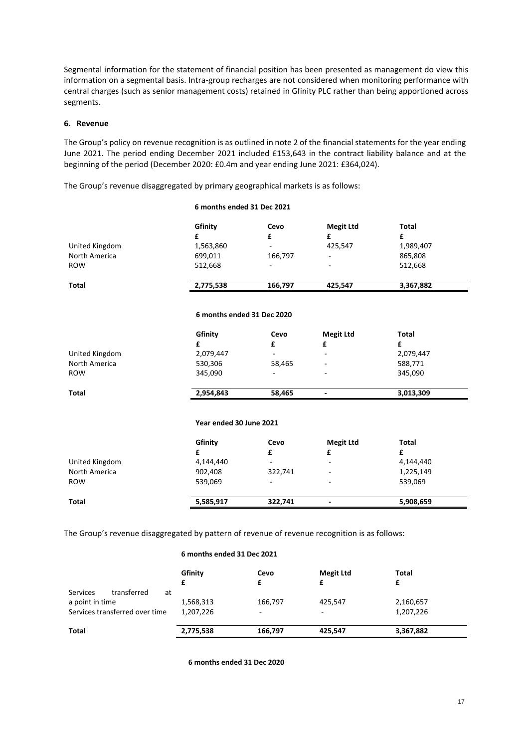Segmental information for the statement of financial position has been presented as management do view this information on a segmental basis. Intra-group recharges are not considered when monitoring performance with central charges (such as senior management costs) retained in Gfinity PLC rather than being apportioned across segments.

### **6. Revenue**

The Group's policy on revenue recognition is as outlined in note 2 of the financial statements for the year ending June 2021. The period ending December 2021 included £153,643 in the contract liability balance and at the beginning of the period (December 2020: £0.4m and year ending June 2021: £364,024).

**6 months ended 31 Dec 2021**

The Group's revenue disaggregated by primary geographical markets is as follows:

|                | Gfinity                    | Cevo    | <b>Megit Ltd</b> | Total        |  |
|----------------|----------------------------|---------|------------------|--------------|--|
|                | £                          | £       | £                | £            |  |
| United Kingdom | 1,563,860                  | ۰.      | 425,547          | 1,989,407    |  |
| North America  | 699,011                    | 166,797 | ۰                | 865,808      |  |
| <b>ROW</b>     | 512,668                    | ۰       |                  | 512,668      |  |
| <b>Total</b>   | 2,775,538                  | 166,797 | 425,547          | 3,367,882    |  |
|                | 6 months ended 31 Dec 2020 |         |                  |              |  |
|                | Gfinity                    | Cevo    | <b>Megit Ltd</b> | <b>Total</b> |  |
|                | £                          | £       | £                | £            |  |

| Total          | 2,954,843 | 58.465                   | - | 3,013,309 |
|----------------|-----------|--------------------------|---|-----------|
| <b>ROW</b>     | 345,090   | -                        | - | 345,090   |
| North America  | 530,306   | 58,465                   | - | 588,771   |
| United Kingdom | 2,079,447 | $\overline{\phantom{0}}$ |   | 2,079,447 |
|                |           |                          | - |           |

#### **Year ended 30 June 2021**

|                | Gfinity   | Cevo                     | <b>Megit Ltd</b>         | Total     |  |
|----------------|-----------|--------------------------|--------------------------|-----------|--|
| United Kingdom | 4,144,440 | -                        | -                        | 4,144,440 |  |
| North America  | 902,408   | 322,741                  | ٠                        | 1,225,149 |  |
| <b>ROW</b>     | 539,069   | $\overline{\phantom{0}}$ | $\overline{\phantom{a}}$ | 539,069   |  |
| Total          | 5,585,917 | 322.741                  | $\overline{\phantom{0}}$ | 5,908,659 |  |

The Group's revenue disaggregated by pattern of revenue of revenue recognition is as follows:

|                                | 6 months ended 31 Dec 2021 |           |                       |            |
|--------------------------------|----------------------------|-----------|-----------------------|------------|
|                                | Gfinity<br>£               | Cevo<br>£ | <b>Megit Ltd</b><br>£ | Total<br>£ |
| transferred<br>Services<br>at  |                            |           |                       |            |
| a point in time                | 1,568,313                  | 166,797   | 425,547               | 2,160,657  |
| Services transferred over time | 1,207,226                  | ٠         | -                     | 1,207,226  |
| <b>Total</b>                   | 2,775,538                  | 166,797   | 425,547               | 3,367,882  |

**6 months ended 31 Dec 2020**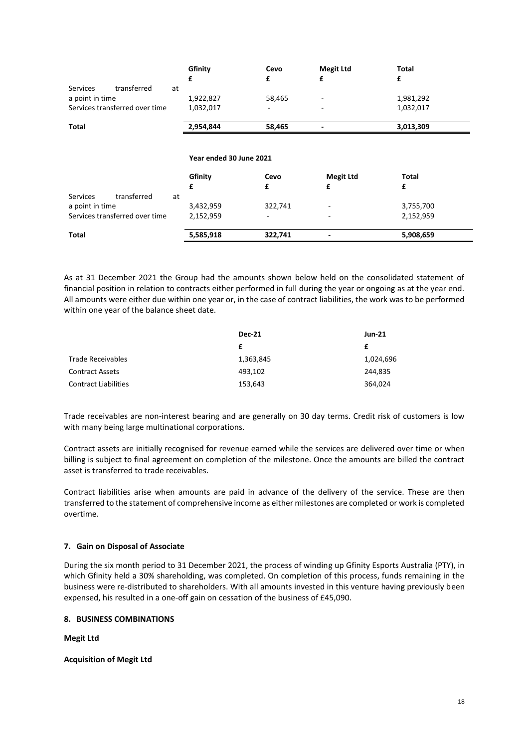|                                | £  | Gfinity                 | Cevo<br>£ | <b>Megit Ltd</b><br>£ | Total<br>£   |
|--------------------------------|----|-------------------------|-----------|-----------------------|--------------|
| transferred<br><b>Services</b> | at |                         |           |                       |              |
| a point in time                |    | 1,922,827               | 58,465    |                       | 1,981,292    |
| Services transferred over time |    | 1,032,017               |           |                       | 1,032,017    |
| Total                          |    | 2,954,844               | 58,465    |                       | 3,013,309    |
|                                |    | Year ended 30 June 2021 |           |                       |              |
|                                |    | Gfinity                 | Cevo      | <b>Megit Ltd</b>      | <b>Total</b> |
|                                | £  |                         | £         | £                     | £            |
| transferred<br><b>Services</b> | at |                         |           |                       |              |
| a point in time                |    | 3,432,959               | 322,741   |                       | 3,755,700    |
| Services transferred over time |    | 2,152,959               |           |                       | 2,152,959    |
| Total                          |    | 5,585,918               | 322,741   |                       | 5,908,659    |

As at 31 December 2021 the Group had the amounts shown below held on the consolidated statement of financial position in relation to contracts either performed in full during the year or ongoing as at the year end. All amounts were either due within one year or, in the case of contract liabilities, the work was to be performed within one year of the balance sheet date.

|                             | <b>Dec-21</b> | <b>Jun-21</b> |  |
|-----------------------------|---------------|---------------|--|
|                             |               | £             |  |
| Trade Receivables           | 1,363,845     | 1,024,696     |  |
| Contract Assets             | 493,102       | 244,835       |  |
| <b>Contract Liabilities</b> | 153,643       | 364,024       |  |

Trade receivables are non-interest bearing and are generally on 30 day terms. Credit risk of customers is low with many being large multinational corporations.

Contract assets are initially recognised for revenue earned while the services are delivered over time or when billing is subject to final agreement on completion of the milestone. Once the amounts are billed the contract asset is transferred to trade receivables.

Contract liabilities arise when amounts are paid in advance of the delivery of the service. These are then transferred to the statement of comprehensive income as either milestones are completed or work is completed overtime.

# **7. Gain on Disposal of Associate**

During the six month period to 31 December 2021, the process of winding up Gfinity Esports Australia (PTY), in which Gfinity held a 30% shareholding, was completed. On completion of this process, funds remaining in the business were re-distributed to shareholders. With all amounts invested in this venture having previously been expensed, his resulted in a one-off gain on cessation of the business of £45,090.

# **8. BUSINESS COMBINATIONS**

**Megit Ltd**

**Acquisition of Megit Ltd**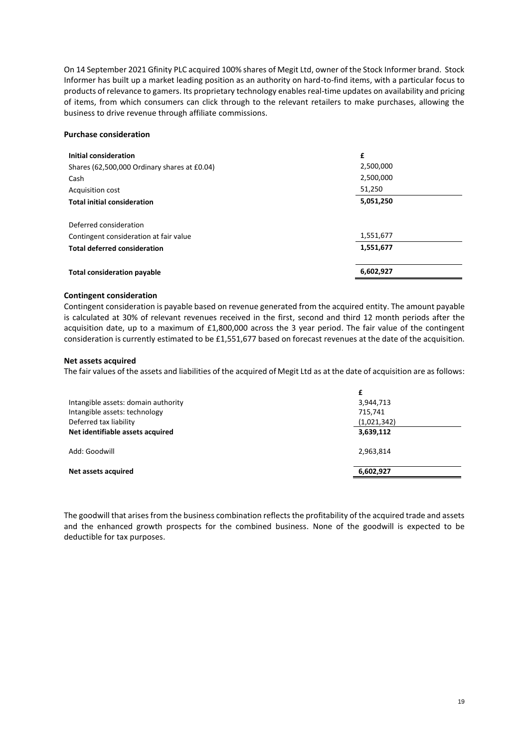On 14 September 2021 Gfinity PLC acquired 100% shares of Megit Ltd, owner of the Stock Informer brand. Stock Informer has built up a market leading position as an authority on hard-to-find items, with a particular focus to products of relevance to gamers. Its proprietary technology enables real-time updates on availability and pricing of items, from which consumers can click through to the relevant retailers to make purchases, allowing the business to drive revenue through affiliate commissions.

#### **Purchase consideration**

| Initial consideration                        | £         |
|----------------------------------------------|-----------|
| Shares (62,500,000 Ordinary shares at £0.04) | 2,500,000 |
| Cash                                         | 2,500,000 |
| <b>Acquisition cost</b>                      | 51,250    |
| <b>Total initial consideration</b>           | 5,051,250 |
| Deferred consideration                       |           |
| Contingent consideration at fair value       | 1,551,677 |
| <b>Total deferred consideration</b>          | 1,551,677 |
| <b>Total consideration payable</b>           | 6,602,927 |

# **Contingent consideration**

Contingent consideration is payable based on revenue generated from the acquired entity. The amount payable is calculated at 30% of relevant revenues received in the first, second and third 12 month periods after the acquisition date, up to a maximum of £1,800,000 across the 3 year period. The fair value of the contingent consideration is currently estimated to be £1,551,677 based on forecast revenues at the date of the acquisition.

#### **Net assets acquired**

The fair values of the assets and liabilities of the acquired of Megit Ltd as at the date of acquisition are as follows:

|                                     | £           |  |
|-------------------------------------|-------------|--|
| Intangible assets: domain authority | 3,944,713   |  |
| Intangible assets: technology       | 715,741     |  |
| Deferred tax liability              | (1,021,342) |  |
| Net identifiable assets acquired    | 3,639,112   |  |
| Add: Goodwill                       | 2,963,814   |  |
| Net assets acquired                 | 6,602,927   |  |

The goodwill that arises from the business combination reflects the profitability of the acquired trade and assets and the enhanced growth prospects for the combined business. None of the goodwill is expected to be deductible for tax purposes.